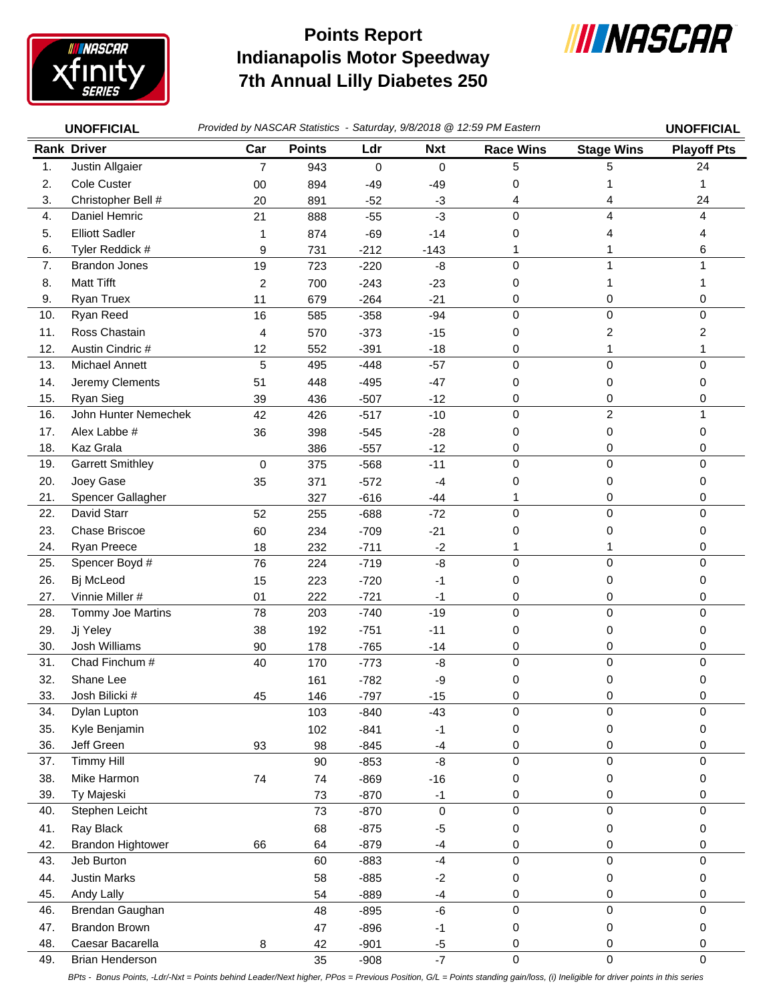

## **Indianapolis Motor Speedway 7th Annual Lilly Diabetes 250 Points Report**



|     | <b>UNOFFICIAL</b>        | Provided by NASCAR Statistics - Saturday, 9/8/2018 @ 12:59 PM Eastern | <b>UNOFFICIAL</b> |        |             |                  |                   |                    |
|-----|--------------------------|-----------------------------------------------------------------------|-------------------|--------|-------------|------------------|-------------------|--------------------|
|     | <b>Rank Driver</b>       | Car                                                                   | <b>Points</b>     | Ldr    | <b>Nxt</b>  | <b>Race Wins</b> | <b>Stage Wins</b> | <b>Playoff Pts</b> |
| 1.  | Justin Allgaier          | $\overline{7}$                                                        | 943               | 0      | $\mathbf 0$ | 5                | 5                 | 24                 |
| 2.  | Cole Custer              | $00\,$                                                                | 894               | $-49$  | $-49$       | 0                |                   | 1                  |
| 3.  | Christopher Bell #       | 20                                                                    | 891               | $-52$  | -3          | 4                |                   | 24                 |
| 4.  | Daniel Hemric            | 21                                                                    | 888               | $-55$  | $-3$        | $\Omega$         | 4                 | $\overline{4}$     |
| 5.  | <b>Elliott Sadler</b>    | 1                                                                     | 874               | $-69$  | $-14$       | 0                |                   | 4                  |
| 6.  | Tyler Reddick #          | 9                                                                     | 731               | $-212$ | $-143$      | 1                |                   | 6                  |
| 7.  | <b>Brandon Jones</b>     | 19                                                                    | 723               | $-220$ | -8          | $\Omega$         | 1                 |                    |
| 8.  | <b>Matt Tifft</b>        | 2                                                                     | 700               | $-243$ | $-23$       | 0                | 1                 |                    |
| 9.  | Ryan Truex               | 11                                                                    | 679               | $-264$ | $-21$       | 0                | 0                 | 0                  |
| 10. | Ryan Reed                | 16                                                                    | 585               | $-358$ | $-94$       | $\mathbf 0$      | $\mathbf 0$       | $\pmb{0}$          |
| 11. | Ross Chastain            | 4                                                                     | 570               | $-373$ | $-15$       | 0                | 2                 | 2                  |
| 12. | Austin Cindric #         | 12                                                                    | 552               | $-391$ | $-18$       | 0                | 1                 | 1                  |
| 13. | Michael Annett           | 5                                                                     | 495               | $-448$ | $-57$       | 0                | 0                 | 0                  |
| 14. | Jeremy Clements          | 51                                                                    | 448               | $-495$ | $-47$       | 0                | 0                 | 0                  |
| 15. | Ryan Sieg                | 39                                                                    | 436               | $-507$ | $-12$       | 0                | 0                 | 0                  |
| 16. | John Hunter Nemechek     | 42                                                                    | 426               | $-517$ | $-10$       | 0                | $\overline{c}$    | $\mathbf{1}$       |
| 17. | Alex Labbe #             | 36                                                                    | 398               | $-545$ | $-28$       | 0                | 0                 | 0                  |
| 18. | Kaz Grala                |                                                                       | 386               | $-557$ | $-12$       | 0                | 0                 | 0                  |
| 19. | <b>Garrett Smithley</b>  | 0                                                                     | 375               | $-568$ | $-11$       | 0                | 0                 | 0                  |
| 20. | Joey Gase                | 35                                                                    | 371               | $-572$ | -4          | 0                | 0                 | 0                  |
| 21. | Spencer Gallagher        |                                                                       | 327               | $-616$ | $-44$       | 1                | 0                 | 0                  |
| 22. | David Starr              | 52                                                                    | 255               | $-688$ | $-72$       | 0                | $\mathbf 0$       | $\mathbf 0$        |
| 23. | Chase Briscoe            | 60                                                                    | 234               | $-709$ | $-21$       | 0                | 0                 | 0                  |
| 24. | Ryan Preece              | 18                                                                    | 232               | $-711$ | $-2$        |                  |                   | 0                  |
| 25. | Spencer Boyd #           | 76                                                                    | 224               | $-719$ | $-8$        | 0                | 0                 | $\mathbf 0$        |
| 26. | Bj McLeod                | 15                                                                    | 223               | $-720$ | -1          | 0                | 0                 | 0                  |
| 27. | Vinnie Miller #          | 01                                                                    | 222               | $-721$ | -1          | 0                | 0                 | 0                  |
| 28. | Tommy Joe Martins        | 78                                                                    | 203               | $-740$ | $-19$       | 0                | $\mathbf 0$       | 0                  |
| 29. | Jj Yeley                 | 38                                                                    | 192               | $-751$ | $-11$       | 0                | 0                 | 0                  |
| 30. | Josh Williams            | 90                                                                    | 178               | $-765$ | $-14$       | 0                | 0                 | 0                  |
| 31. | Chad Finchum #           | 40                                                                    | 170               | $-773$ | -8          | 0                | 0                 | 0                  |
| 32. | Shane Lee                |                                                                       | 161               | $-782$ | -9          | 0                | 0                 | 0                  |
| 33. | Josh Bilicki #           | 45                                                                    | 146               | $-797$ | $-15$       | 0                | 0                 | 0                  |
| 34. | Dylan Lupton             |                                                                       | 103               | $-840$ | $-43$       | $\mathbf 0$      | $\mathbf 0$       | $\pmb{0}$          |
| 35. | Kyle Benjamin            |                                                                       | 102               | $-841$ | $-1$        | 0                | 0                 | 0                  |
| 36. | Jeff Green               | 93                                                                    | 98                | $-845$ | $-4$        | 0                | 0                 | 0                  |
| 37. | <b>Timmy Hill</b>        |                                                                       | 90                | $-853$ | -8          | $\pmb{0}$        | $\pmb{0}$         | $\mathbf 0$        |
| 38. | Mike Harmon              | 74                                                                    | 74                | $-869$ | $-16$       | 0                | 0                 | 0                  |
| 39. | Ty Majeski               |                                                                       | 73                | $-870$ | $-1$        | 0                | 0                 | 0                  |
| 40. | Stephen Leicht           |                                                                       | 73                | $-870$ | $\pmb{0}$   | $\pmb{0}$        | $\pmb{0}$         | $\pmb{0}$          |
| 41. | Ray Black                |                                                                       | 68                | $-875$ | $-5$        | 0                | 0                 | 0                  |
| 42. | <b>Brandon Hightower</b> | 66                                                                    | 64                | $-879$ | -4          | 0                | 0                 | 0                  |
| 43. | Jeb Burton               |                                                                       | 60                | $-883$ | $-4$        | 0                | 0                 | 0                  |
| 44. | <b>Justin Marks</b>      |                                                                       | 58                | $-885$ | $-2$        | 0                | 0                 | 0                  |
| 45. | Andy Lally               |                                                                       | 54                | $-889$ | $-4$        | 0                | 0                 | 0                  |
| 46. | Brendan Gaughan          |                                                                       | 48                | $-895$ | $-6$        | $\pmb{0}$        | 0                 | 0                  |
| 47. | <b>Brandon Brown</b>     |                                                                       | 47                | $-896$ | $-1$        | 0                | 0                 | 0                  |
| 48. | Caesar Bacarella         | 8                                                                     | 42                | $-901$ | $-5$        | 0                | 0                 | 0                  |
| 49. | Brian Henderson          |                                                                       | 35                | $-908$ | $-7$        | $\pmb{0}$        | $\mathsf 0$       | $\mathbf 0$        |

*BPts - Bonus Points, -Ldr/-Nxt = Points behind Leader/Next higher, PPos = Previous Position, G/L = Points standing gain/loss, (i) Ineligible for driver points in this series*